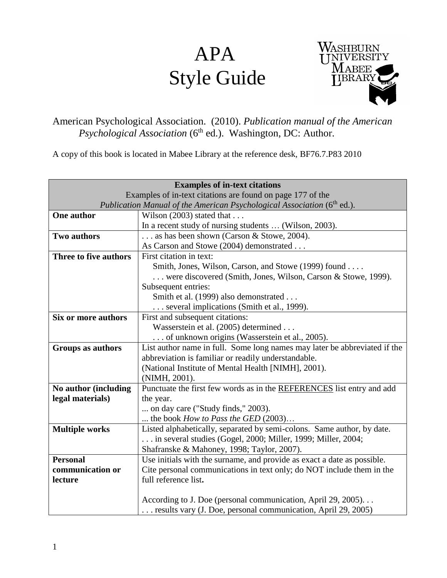# APA Style Guide



# American Psychological Association. (2010). *Publication manual of the American Psychological Association* (6<sup>th</sup> ed.). Washington, DC: Author.

A copy of this book is located in Mabee Library at the reference desk, BF76.7.P83 2010

|                                                                                     | <b>Examples of in-text citations</b>                                      |  |
|-------------------------------------------------------------------------------------|---------------------------------------------------------------------------|--|
| Examples of in-text citations are found on page 177 of the                          |                                                                           |  |
| Publication Manual of the American Psychological Association (6 <sup>th</sup> ed.). |                                                                           |  |
| One author                                                                          | Wilson $(2003)$ stated that                                               |  |
|                                                                                     | In a recent study of nursing students  (Wilson, 2003).                    |  |
| Two authors                                                                         | as has been shown (Carson & Stowe, 2004).                                 |  |
|                                                                                     | As Carson and Stowe (2004) demonstrated                                   |  |
| Three to five authors                                                               | First citation in text:                                                   |  |
|                                                                                     | Smith, Jones, Wilson, Carson, and Stowe (1999) found                      |  |
|                                                                                     | were discovered (Smith, Jones, Wilson, Carson & Stowe, 1999).             |  |
|                                                                                     | Subsequent entries:                                                       |  |
|                                                                                     | Smith et al. (1999) also demonstrated                                     |  |
|                                                                                     | several implications (Smith et al., 1999).                                |  |
| Six or more authors                                                                 | First and subsequent citations:                                           |  |
|                                                                                     | Wasserstein et al. (2005) determined                                      |  |
|                                                                                     | of unknown origins (Wasserstein et al., 2005).                            |  |
| Groups as authors                                                                   | List author name in full. Some long names may later be abbreviated if the |  |
|                                                                                     | abbreviation is familiar or readily understandable.                       |  |
|                                                                                     | (National Institute of Mental Health [NIMH], 2001).                       |  |
|                                                                                     | (NIMH, 2001).                                                             |  |
| No author (including                                                                | Punctuate the first few words as in the REFERENCES list entry and add     |  |
| legal materials)                                                                    | the year.                                                                 |  |
|                                                                                     | on day care ("Study finds," 2003).                                        |  |
|                                                                                     | the book How to Pass the GED $(2003)$                                     |  |
| <b>Multiple works</b>                                                               | Listed alphabetically, separated by semi-colons. Same author, by date.    |  |
|                                                                                     | in several studies (Gogel, 2000; Miller, 1999; Miller, 2004;              |  |
|                                                                                     | Shafranske & Mahoney, 1998; Taylor, 2007).                                |  |
| <b>Personal</b>                                                                     | Use initials with the surname, and provide as exact a date as possible.   |  |
| communication or                                                                    | Cite personal communications in text only; do NOT include them in the     |  |
| lecture                                                                             | full reference list.                                                      |  |
|                                                                                     |                                                                           |  |
|                                                                                     | According to J. Doe (personal communication, April 29, 2005)              |  |
|                                                                                     | results vary (J. Doe, personal communication, April 29, 2005)             |  |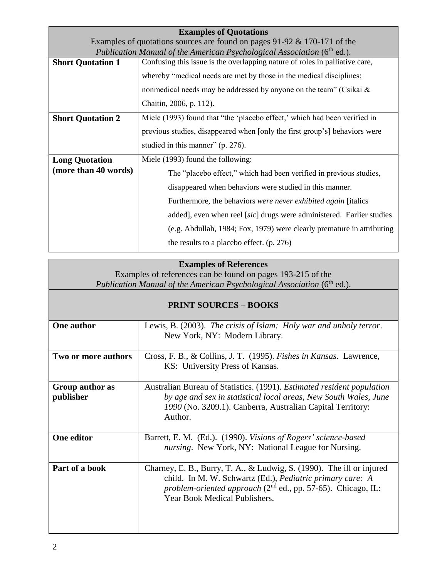| <b>Examples of Quotations</b>                                                       |                                                                             |  |
|-------------------------------------------------------------------------------------|-----------------------------------------------------------------------------|--|
| Examples of quotations sources are found on pages $91-92 & 170-171$ of the          |                                                                             |  |
| Publication Manual of the American Psychological Association (6 <sup>th</sup> ed.). |                                                                             |  |
| <b>Short Quotation 1</b>                                                            | Confusing this issue is the overlapping nature of roles in palliative care, |  |
|                                                                                     | whereby "medical needs are met by those in the medical disciplines;         |  |
|                                                                                     | nonmedical needs may be addressed by anyone on the team" (Csikai $\&$       |  |
|                                                                                     | Chaitin, 2006, p. 112).                                                     |  |
| <b>Short Quotation 2</b>                                                            | Miele (1993) found that "the 'placebo effect,' which had been verified in   |  |
|                                                                                     | previous studies, disappeared when [only the first group's] behaviors were  |  |
|                                                                                     | studied in this manner" (p. 276).                                           |  |
| <b>Long Quotation</b><br>(more than 40 words)                                       | Miele (1993) found the following:                                           |  |
|                                                                                     | The "placebo effect," which had been verified in previous studies,          |  |
|                                                                                     | disappeared when behaviors were studied in this manner.                     |  |
|                                                                                     | Furthermore, the behaviors were never exhibited again [italics]             |  |
|                                                                                     | added], even when reel [sic] drugs were administered. Earlier studies       |  |
|                                                                                     | (e.g. Abdullah, 1984; Fox, 1979) were clearly premature in attributing      |  |
|                                                                                     | the results to a placebo effect. $(p. 276)$                                 |  |

#### **Examples of References**

Examples of references can be found on pages 193-215 of the Publication Manual of the American Psychological Association (6<sup>th</sup> ed.).

# **PRINT SOURCES – BOOKS**

| One author          | Lewis, B. (2003). The crisis of Islam: Holy war and unholy terror.            |
|---------------------|-------------------------------------------------------------------------------|
|                     | New York, NY: Modern Library.                                                 |
|                     |                                                                               |
|                     |                                                                               |
| Two or more authors | Cross, F. B., & Collins, J. T. (1995). <i>Fishes in Kansas</i> . Lawrence,    |
|                     | KS: University Press of Kansas.                                               |
|                     |                                                                               |
|                     |                                                                               |
| Group author as     | Australian Bureau of Statistics. (1991). <i>Estimated resident population</i> |
| publisher           | by age and sex in statistical local areas, New South Wales, June              |
|                     |                                                                               |
|                     | 1990 (No. 3209.1). Canberra, Australian Capital Territory:                    |
|                     | Author.                                                                       |
|                     |                                                                               |
|                     |                                                                               |
| One editor          | Barrett, E. M. (Ed.). (1990). Visions of Rogers' science-based                |
|                     | <i>nursing.</i> New York, NY: National League for Nursing.                    |
|                     |                                                                               |
|                     |                                                                               |
| Part of a book      | Charney, E. B., Burry, T. A., & Ludwig, S. (1990). The ill or injured         |
|                     | child. In M. W. Schwartz (Ed.), Pediatric primary care: A                     |
|                     |                                                                               |
|                     | problem-oriented approach $(2^{nd}$ ed., pp. 57-65). Chicago, IL:             |
|                     | Year Book Medical Publishers.                                                 |
|                     |                                                                               |
|                     |                                                                               |
|                     |                                                                               |
|                     |                                                                               |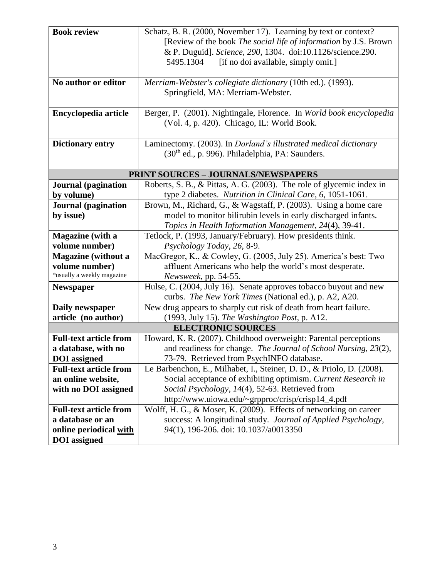| <b>Book review</b>                         | Schatz, B. R. (2000, November 17). Learning by text or context?       |  |
|--------------------------------------------|-----------------------------------------------------------------------|--|
|                                            | [Review of the book The social life of information by J.S. Brown      |  |
|                                            | & P. Duguid]. Science, 290, 1304. doi:10.1126/science.290.            |  |
|                                            | 5495.1304<br>[if no doi available, simply omit.]                      |  |
|                                            |                                                                       |  |
| No author or editor                        | Merriam-Webster's collegiate dictionary (10th ed.). (1993).           |  |
|                                            | Springfield, MA: Merriam-Webster.                                     |  |
|                                            |                                                                       |  |
| Encyclopedia article                       | Berger, P. (2001). Nightingale, Florence. In World book encyclopedia  |  |
|                                            | (Vol. 4, p. 420). Chicago, IL: World Book.                            |  |
|                                            |                                                                       |  |
| <b>Dictionary entry</b>                    | Laminectomy. (2003). In Dorland's illustrated medical dictionary      |  |
|                                            | (30 <sup>th</sup> ed., p. 996). Philadelphia, PA: Saunders.           |  |
|                                            |                                                                       |  |
| <b>PRINT SOURCES - JOURNALS/NEWSPAPERS</b> |                                                                       |  |
| <b>Journal</b> (pagination                 | Roberts, S. B., & Pittas, A. G. (2003). The role of glycemic index in |  |
| by volume)                                 | type 2 diabetes. Nutrition in Clinical Care, 6, 1051-1061.            |  |
| <b>Journal</b> (pagination                 | Brown, M., Richard, G., & Wagstaff, P. (2003). Using a home care      |  |
| by issue)                                  | model to monitor bilirubin levels in early discharged infants.        |  |
|                                            | Topics in Health Information Management, 24(4), 39-41.                |  |
| Magazine (with a                           | Tetlock, P. (1993, January/February). How presidents think.           |  |
| volume number)                             | Psychology Today, 26, 8-9.                                            |  |
| <b>Magazine</b> (without a                 | MacGregor, K., & Cowley, G. (2005, July 25). America's best: Two      |  |
| volume number)                             | affluent Americans who help the world's most desperate.               |  |
| *usually a weekly magazine                 | Newsweek, pp. 54-55.                                                  |  |
| <b>Newspaper</b>                           | Hulse, C. (2004, July 16). Senate approves tobacco buyout and new     |  |
|                                            | curbs. The New York Times (National ed.), p. A2, A20.                 |  |
| Daily newspaper                            | New drug appears to sharply cut risk of death from heart failure.     |  |
| article (no author)                        | (1993, July 15). The Washington Post, p. A12.                         |  |
| <b>ELECTRONIC SOURCES</b>                  |                                                                       |  |
| <b>Full-text article from</b>              | Howard, K. R. (2007). Childhood overweight: Parental perceptions      |  |
| a database, with no                        | and readiness for change. The Journal of School Nursing, 23(2),       |  |
| <b>DOI</b> assigned                        | 73-79. Retrieved from PsychINFO database.                             |  |
| <b>Full-text article from</b>              | Le Barbenchon, E., Milhabet, I., Steiner, D. D., & Priolo, D. (2008). |  |
| an online website,                         | Social acceptance of exhibiting optimism. Current Research in         |  |
| with no DOI assigned                       | Social Psychology, 14(4), 52-63. Retrieved from                       |  |
|                                            | http://www.uiowa.edu/~grpproc/crisp/crisp14_4.pdf                     |  |
| <b>Full-text article from</b>              | Wolff, H. G., & Moser, K. (2009). Effects of networking on career     |  |
| a database or an                           | success: A longitudinal study. Journal of Applied Psychology,         |  |
| online periodical with                     | 94(1), 196-206. doi: 10.1037/a0013350                                 |  |
| <b>DOI</b> assigned                        |                                                                       |  |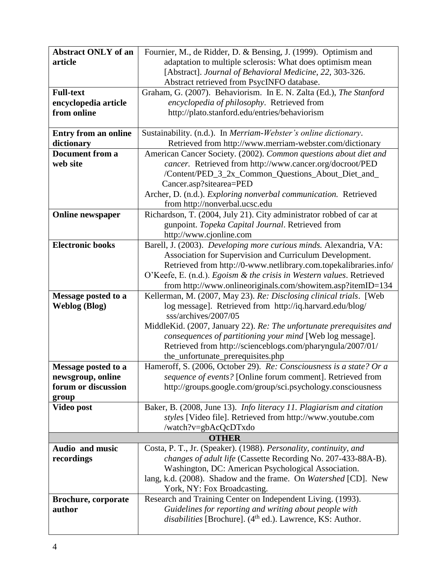| <b>Abstract ONLY of an</b>  | Fournier, M., de Ridder, D. & Bensing, J. (1999). Optimism and                                                                     |
|-----------------------------|------------------------------------------------------------------------------------------------------------------------------------|
| article                     | adaptation to multiple sclerosis: What does optimism mean                                                                          |
|                             | [Abstract]. Journal of Behavioral Medicine, 22, 303-326.                                                                           |
|                             | Abstract retrieved from PsycINFO database.                                                                                         |
| <b>Full-text</b>            | Graham, G. (2007). Behaviorism. In E. N. Zalta (Ed.), The Stanford                                                                 |
| encyclopedia article        | encyclopedia of philosophy. Retrieved from                                                                                         |
| from online                 | http://plato.stanford.edu/entries/behaviorism                                                                                      |
|                             |                                                                                                                                    |
| <b>Entry from an online</b> | Sustainability. (n.d.). In Merriam-Webster's online dictionary.                                                                    |
| dictionary                  | Retrieved from http://www.merriam-webster.com/dictionary                                                                           |
| <b>Document from a</b>      | American Cancer Society. (2002). Common questions about diet and                                                                   |
| web site                    | cancer. Retrieved from http://www.cancer.org/docroot/PED                                                                           |
|                             | /Content/PED_3_2x_Common_Questions_About_Diet_and_                                                                                 |
|                             | Cancer.asp?sitearea=PED                                                                                                            |
|                             | Archer, D. (n.d.). Exploring nonverbal communication. Retrieved                                                                    |
|                             | from http://nonverbal.ucsc.edu<br>Richardson, T. (2004, July 21). City administrator robbed of car at                              |
| <b>Online newspaper</b>     | gunpoint. Topeka Capital Journal. Retrieved from                                                                                   |
|                             | http://www.cjonline.com                                                                                                            |
| <b>Electronic books</b>     | Barell, J. (2003). Developing more curious minds. Alexandria, VA:                                                                  |
|                             | Association for Supervision and Curriculum Development.                                                                            |
|                             | Retrieved from http://0-www.netlibrary.com.topekalibraries.info/                                                                   |
|                             | O'Keefe, E. (n.d.). Egoism & the crisis in Western values. Retrieved                                                               |
|                             | from http://www.onlineoriginals.com/showitem.asp?itemID=134                                                                        |
| Message posted to a         | Kellerman, M. (2007, May 23). Re: Disclosing clinical trials. [Web                                                                 |
| <b>Weblog (Blog)</b>        | log message]. Retrieved from http://iq.harvard.edu/blog/                                                                           |
|                             | sss/archives/2007/05                                                                                                               |
|                             | MiddleKid. (2007, January 22). Re: The unfortunate prerequisites and                                                               |
|                             | consequences of partitioning your mind [Web log message].                                                                          |
|                             | Retrieved from http://scienceblogs.com/pharyngula/2007/01/                                                                         |
|                             | the_unfortunate_prerequisites.php                                                                                                  |
| Message posted to a         | Hameroff, S. (2006, October 29). Re: Consciousness is a state? Or a                                                                |
| newsgroup, online           | sequence of events? [Online forum comment]. Retrieved from                                                                         |
| forum or discussion         | http://groups.google.com/group/sci.psychology.consciousness                                                                        |
| group                       |                                                                                                                                    |
| Video post                  | Baker, B. (2008, June 13). Info literacy 11. Plagiarism and citation                                                               |
|                             | styles [Video file]. Retrieved from http://www.youtube.com                                                                         |
|                             | /watch?v=gbAcQcDTxdo                                                                                                               |
| Audio and music             | <b>OTHER</b>                                                                                                                       |
| recordings                  | Costa, P. T., Jr. (Speaker). (1988). Personality, continuity, and<br>changes of adult life (Cassette Recording No. 207-433-88A-B). |
|                             | Washington, DC: American Psychological Association.                                                                                |
|                             | lang, k.d. (2008). Shadow and the frame. On Watershed [CD]. New                                                                    |
|                             | York, NY: Fox Broadcasting.                                                                                                        |
| <b>Brochure, corporate</b>  | Research and Training Center on Independent Living. (1993).                                                                        |
| author                      | Guidelines for reporting and writing about people with                                                                             |
|                             | disabilities [Brochure]. (4 <sup>th</sup> ed.). Lawrence, KS: Author.                                                              |
|                             |                                                                                                                                    |